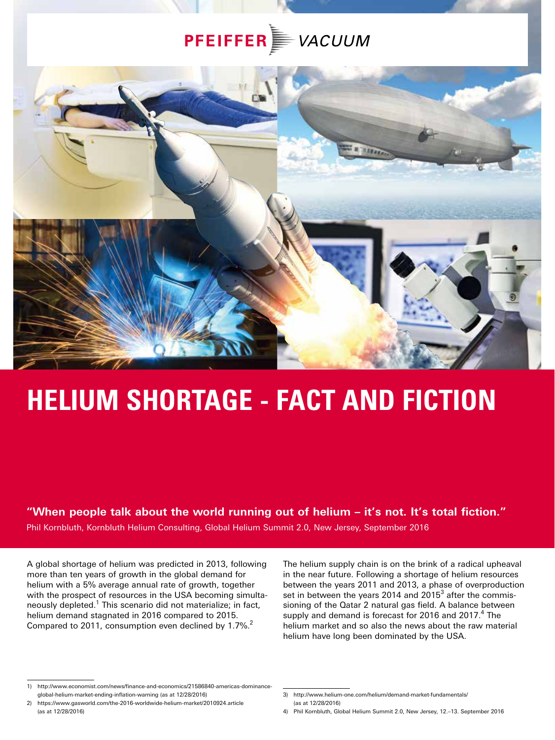## **PFEIFFER** *VACUUM*



# **HELIUM SHORTAGE - FACT AND FICTION**

#### **"When people talk about the world running out of helium – it's not. It's total fiction."**

Phil Kornbluth, Kornbluth Helium Consulting, Global Helium Summit 2.0, New Jersey, September 2016

A global shortage of helium was predicted in 2013, following more than ten years of growth in the global demand for helium with a 5% average annual rate of growth, together with the prospect of resources in the USA becoming simultaneously depleted.<sup>1</sup> This scenario did not materialize; in fact, helium demand stagnated in 2016 compared to 2015. Compared to 2011, consumption even declined by 1.7%.<sup>2</sup>

The helium supply chain is on the brink of a radical upheaval in the near future. Following a shortage of helium resources between the years 2011 and 2013, a phase of overproduction set in between the years 2014 and 2015 $3$  after the commissioning of the Qatar 2 natural gas field. A balance between supply and demand is forecast for 2016 and 2017.<sup>4</sup> The helium market and so also the news about the raw material helium have long been dominated by the USA.

<sup>1)</sup> http://www.economist.com/news/finance-and-economics/21586840-americas-dominanceglobal-helium-market-ending-inflation-warning (as at 12/28/2016)

<sup>2)</sup> https://www.gasworld.com/the-2016-worldwide-helium-market/2010924.article (as at 12/28/2016)

<sup>3)</sup> http://www.helium-one.com/helium/demand-market-fundamentals/ (as at 12/28/2016)

<sup>4)</sup> Phil Kornbluth, Global Helium Summit 2.0, New Jersey, 12.–13. September 2016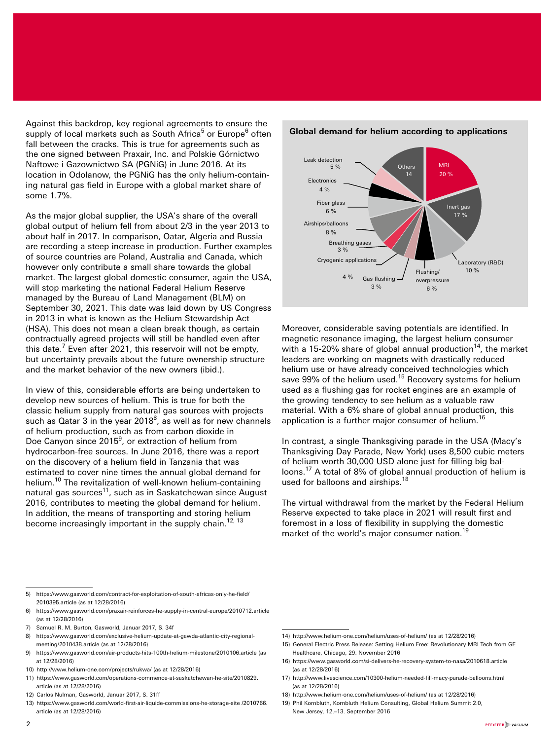Against this backdrop, key regional agreements to ensure the supply of local markets such as South Africa<sup>5</sup> or Europe<sup>6</sup> often fall between the cracks. This is true for agreements such as the one signed between Praxair, Inc. and Polskie Górnictwo Naftowe i Gazownictwo SA (PGNiG) in June 2016. At its location in Odolanow, the PGNiG has the only helium-containing natural gas field in Europe with a global market share of some 1.7%.

As the major global supplier, the USA's share of the overall global output of helium fell from about 2/3 in the year 2013 to about half in 2017. In comparison, Qatar, Algeria and Russia are recording a steep increase in production. Further examples of source countries are Poland, Australia and Canada, which however only contribute a small share towards the global market. The largest global domestic consumer, again the USA, will stop marketing the national Federal Helium Reserve managed by the Bureau of Land Management (BLM) on September 30, 2021. This date was laid down by US Congress in 2013 in what is known as the Helium Stewardship Act (HSA). This does not mean a clean break though, as certain contractually agreed projects will still be handled even after this date.<sup>7</sup> Even after 2021, this reservoir will not be empty, but uncertainty prevails about the future ownership structure and the market behavior of the new owners (ibid.).

In view of this, considerable efforts are being undertaken to develop new sources of helium. This is true for both the classic helium supply from natural gas sources with projects such as Qatar 3 in the year 2018 $^8$ , as well as for new channels of helium production, such as from carbon dioxide in Doe Canyon since 2015<sup>9</sup>, or extraction of helium from hydrocarbon-free sources. In June 2016, there was a report on the discovery of a helium field in Tanzania that was estimated to cover nine times the annual global demand for helium.10 The revitalization of well-known helium-containing natural gas sources<sup>11</sup>, such as in Saskatchewan since August 2016, contributes to meeting the global demand for helium. In addition, the means of transporting and storing helium become increasingly important in the supply chain.<sup>12, 13</sup>



#### **Global demand for helium according to applications**

Moreover, considerable saving potentials are identified. In magnetic resonance imaging, the largest helium consumer with a 15-20% share of global annual production<sup>14</sup>, the market leaders are working on magnets with drastically reduced helium use or have already conceived technologies which save 99% of the helium used.<sup>15</sup> Recovery systems for helium used as a flushing gas for rocket engines are an example of the growing tendency to see helium as a valuable raw material. With a 6% share of global annual production, this application is a further major consumer of helium.<sup>16</sup>

In contrast, a single Thanksgiving parade in the USA (Macy's Thanksgiving Day Parade, New York) uses 8,500 cubic meters of helium worth 30,000 USD alone just for filling big balloons.17 A total of 8% of global annual production of helium is used for balloons and airships.<sup>18</sup>

The virtual withdrawal from the market by the Federal Helium Reserve expected to take place in 2021 will result first and foremost in a loss of flexibility in supplying the domestic market of the world's major consumer nation.<sup>19</sup>

- 5) https://www.gasworld.com/contract-for-exploitation-of-south-africas-only-he-field/ 2010395.article (as at 12/28/2016)
- 6) https://www.gasworld.com/praxair-reinforces-he-supply-in-central-europe/2010712.article (as at 12/28/2016)
- 7) Samuel R. M. Burton, Gasworld, Januar 2017, S. 34f
- 8) https://www.gasworld.com/exclusive-helium-update-at-gawda-atlantic-city-regionalmeeting/2010438.article (as at 12/28/2016)
- 9) https://www.gasworld.com/air-products-hits-100th-helium-milestone/2010106.article (as at 12/28/2016)
- 10) http://www.helium-one.com/projects/rukwa/ (as at 12/28/2016)
- 11) https://www.gasworld.com/operations-commence-at-saskatchewan-he-site/2010829. article (as at 12/28/2016)
- 12) Carlos Nulman, Gasworld, Januar 2017, S. 31ff
- 13) https://www.gasworld.com/world-first-air-liquide-commissions-he-storage-site /2010766. article (as at 12/28/2016)
- 14) http://www.helium-one.com/helium/uses-of-helium/ (as at 12/28/2016)
- 15) General Electric Press Release: Setting Helium Free: Revolutionary MRI Tech from GE Healthcare, Chicago, 29. November 2016
- 16) https://www.gasworld.com/si-delivers-he-recovery-system-to-nasa/2010618.article (as at 12/28/2016)
- 17) http://www.livescience.com/10300-helium-needed-fill-macy-parade-balloons.html (as at 12/28/2016)
- 18) http://www.helium-one.com/helium/uses-of-helium/ (as at 12/28/2016)
- 19) Phil Kornbluth, Kornbluth Helium Consulting, Global Helium Summit 2.0, New Jersey, 12.–13. September 2016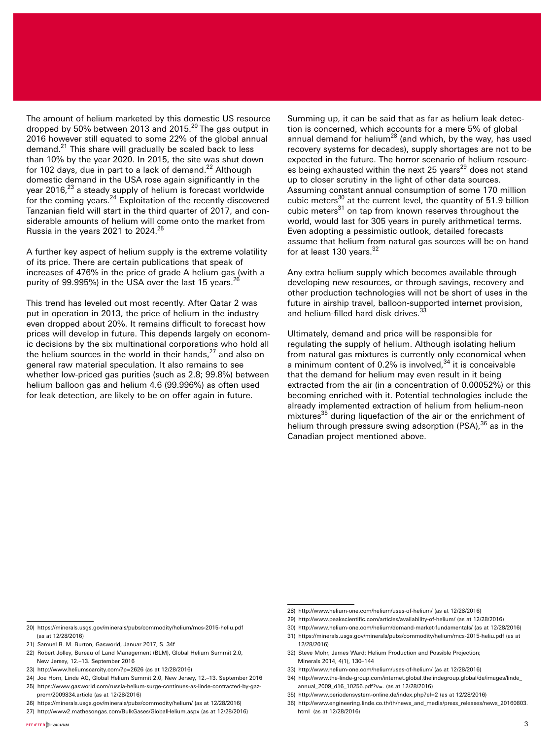The amount of helium marketed by this domestic US resource The amount of nenum marketed by this assistance be recovered<br>dropped by 50% between 2013 and 2015.<sup>20</sup> The gas output in 2016 however still equated to some 22% of the global annual demand.<sup>21</sup> This share will gradually be scaled back to less than 10% by the year 2020. In 2015, the site was shut down for 102 days, due in part to a lack of demand.<sup>22</sup> Although domestic demand in the USA rose again significantly in the year 2016,<sup>23</sup> a steady supply of helium is forecast worldwide for the coming years. $24$  Exploitation of the recently discovered Tanzanian field will start in the third quarter of 2017, and considerable amounts of helium will come onto the market from Russia in the years 2021 to 2024.25

A further key aspect of helium supply is the extreme volatility of its price. There are certain publications that speak of increases of 476% in the price of grade A helium gas (with a purity of 99.995%) in the USA over the last 15 years.<sup>26</sup>

This trend has leveled out most recently. After Qatar 2 was put in operation in 2013, the price of helium in the industry even dropped about 20%. It remains difficult to forecast how prices will develop in future. This depends largely on economic decisions by the six multinational corporations who hold all the helium sources in the world in their hands, $27$  and also on general raw material speculation. It also remains to see whether low-priced gas purities (such as 2.8; 99.8%) between helium balloon gas and helium 4.6 (99.996%) as often used for leak detection, are likely to be on offer again in future.

Summing up, it can be said that as far as helium leak detection is concerned, which accounts for a mere 5% of global annual demand for helium<sup>28</sup> (and which, by the way, has used recovery systems for decades), supply shortages are not to be expected in the future. The horror scenario of helium resources being exhausted within the next 25 years<sup>29</sup> does not stand up to closer scrutiny in the light of other data sources. Assuming constant annual consumption of some 170 million cubic meters<sup>30</sup> at the current level, the quantity of 51.9 billion cubic meters<sup>31</sup> on tap from known reserves throughout the world, would last for 305 years in purely arithmetical terms. Even adopting a pessimistic outlook, detailed forecasts assume that helium from natural gas sources will be on hand for at least 130 years.<sup>32</sup>

Any extra helium supply which becomes available through developing new resources, or through savings, recovery and other production technologies will not be short of uses in the future in airship travel, balloon-supported internet provision, and helium-filled hard disk drives.

Ultimately, demand and price will be responsible for regulating the supply of helium. Although isolating helium from natural gas mixtures is currently only economical when a minimum content of 0.2% is involved,  $34$  it is conceivable that the demand for helium may even result in it being extracted from the air (in a concentration of 0.00052%) or this becoming enriched with it. Potential technologies include the already implemented extraction of helium from helium-neon mixtures<sup>35</sup> during liquefaction of the air or the enrichment of helium through pressure swing adsorption (PSA),<sup>36</sup> as in the Canadian project mentioned above.

- 21) Samuel R. M. Burton, Gasworld, Januar 2017, S. 34f
- 22) Robert Jolley, Bureau of Land Management (BLM), Global Helium Summit 2.0, New Jersey, 12.–13. September 2016
- 23) http://www.heliumscarcity.com/?p=2626 (as at 12/28/2016)
- 24) Joe Horn, Linde AG, Global Helium Summit 2.0, New Jersey, 12.–13. September 2016 25) https://www.gasworld.com/russia-helium-surge-continues-as-linde-contracted-by-gazprom/2009834.article (as at 12/28/2016)
- 26) https://minerals.usgs.gov/minerals/pubs/commodity/helium/ (as at 12/28/2016)
- 27) http://www2.mathesongas.com/BulkGases/GlobalHelium.aspx (as at 12/28/2016)
- 29) http://www.peakscientific.com/articles/availability-of-helium/ (as at 12/28/2016)
- 30) http://www.helium-one.com/helium/demand-market-fundamentals/ (as at 12/28/2016) 31) https://minerals.usgs.gov/minerals/pubs/commodity/helium/mcs-2015-heliu.pdf (as at 12/28/2016)
- 32) Steve Mohr, James Ward; Helium Production and Possible Projection; Minerals 2014, 4(1), 130–144
- 33) http://www.helium-one.com/helium/uses-of-helium/ (as at 12/28/2016)
- 34) http://www.the-linde-group.com/internet.global.thelindegroup.global/de/images/linde\_
- annual\_2009\_d16\_10256.pdf?v=. (as at 12/28/2016)
- 35) http://www.periodensystem-online.de/index.php?el=2 (as at 12/28/2016)
- 36) http://www.engineering.linde.co.th/th/news\_and\_media/press\_releases/news\_20160803. html (as at 12/28/2016)